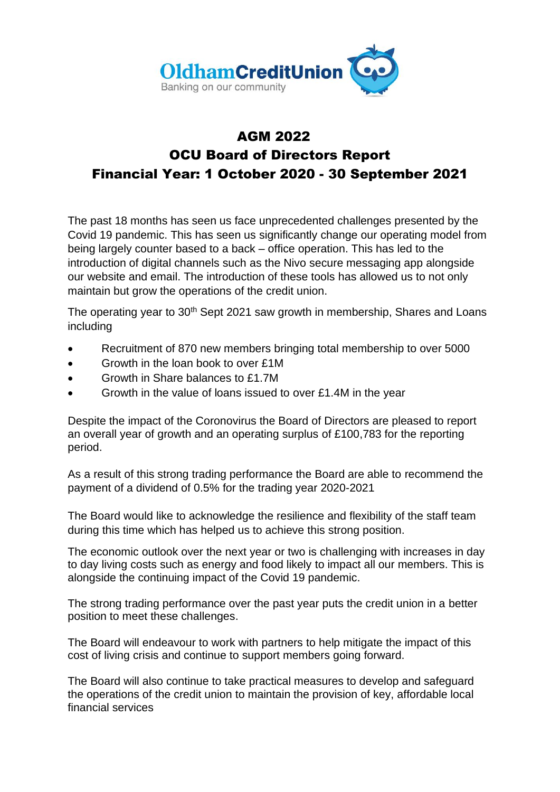

#### AGM 2022

### OCU Board of Directors Report Financial Year: 1 October 2020 - 30 September 2021

The past 18 months has seen us face unprecedented challenges presented by the Covid 19 pandemic. This has seen us significantly change our operating model from being largely counter based to a back – office operation. This has led to the introduction of digital channels such as the Nivo secure messaging app alongside our website and email. The introduction of these tools has allowed us to not only maintain but grow the operations of the credit union.

The operating year to 30<sup>th</sup> Sept 2021 saw growth in membership, Shares and Loans including

- Recruitment of 870 new members bringing total membership to over 5000
- Growth in the loan book to over £1M
- Growth in Share balances to £1.7M
- Growth in the value of loans issued to over £1.4M in the year

Despite the impact of the Coronovirus the Board of Directors are pleased to report an overall year of growth and an operating surplus of £100,783 for the reporting period.

As a result of this strong trading performance the Board are able to recommend the payment of a dividend of 0.5% for the trading year 2020-2021

The Board would like to acknowledge the resilience and flexibility of the staff team during this time which has helped us to achieve this strong position.

The economic outlook over the next year or two is challenging with increases in day to day living costs such as energy and food likely to impact all our members. This is alongside the continuing impact of the Covid 19 pandemic.

The strong trading performance over the past year puts the credit union in a better position to meet these challenges.

The Board will endeavour to work with partners to help mitigate the impact of this cost of living crisis and continue to support members going forward.

The Board will also continue to take practical measures to develop and safeguard the operations of the credit union to maintain the provision of key, affordable local financial services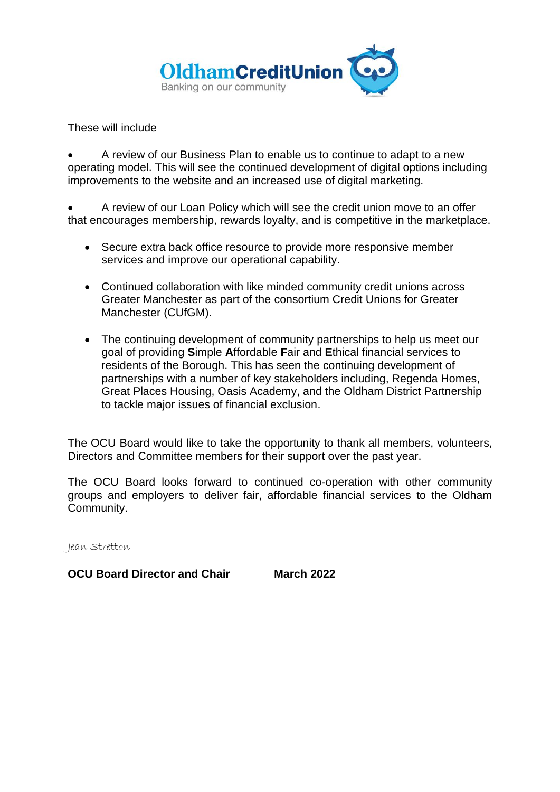

These will include

• A review of our Business Plan to enable us to continue to adapt to a new operating model. This will see the continued development of digital options including improvements to the website and an increased use of digital marketing.

• A review of our Loan Policy which will see the credit union move to an offer that encourages membership, rewards loyalty, and is competitive in the marketplace.

- Secure extra back office resource to provide more responsive member services and improve our operational capability.
- Continued collaboration with like minded community credit unions across Greater Manchester as part of the consortium Credit Unions for Greater Manchester (CUfGM).
- The continuing development of community partnerships to help us meet our goal of providing **S**imple **A**ffordable **F**air and **E**thical financial services to residents of the Borough. This has seen the continuing development of partnerships with a number of key stakeholders including, Regenda Homes, Great Places Housing, Oasis Academy, and the Oldham District Partnership to tackle major issues of financial exclusion.

The OCU Board would like to take the opportunity to thank all members, volunteers, Directors and Committee members for their support over the past year.

The OCU Board looks forward to continued co-operation with other community groups and employers to deliver fair, affordable financial services to the Oldham Community.

Jean Stretton

**OCU Board Director and Chair March 2022**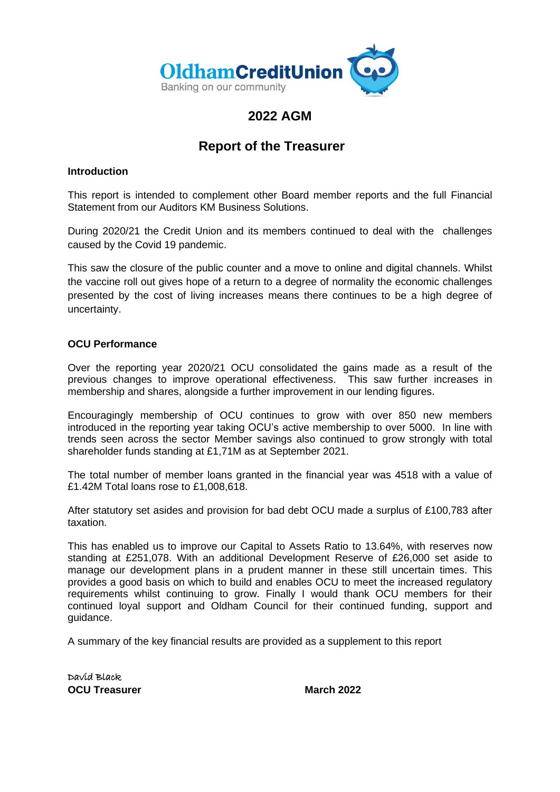

### **2022 AGM**

#### **Report of the Treasurer**

#### **Introduction**

This report is intended to complement other Board member reports and the full Financial Statement from our Auditors KM Business Solutions.

During 2020/21 the Credit Union and its members continued to deal with the challenges caused by the Covid 19 pandemic.

This saw the closure of the public counter and a move to online and digital channels. Whilst the vaccine roll out gives hope of a return to a degree of normality the economic challenges presented by the cost of living increases means there continues to be a high degree of uncertainty.

#### **OCU Performance**

Over the reporting year 2020/21 OCU consolidated the gains made as a result of the previous changes to improve operational effectiveness. This saw further increases in membership and shares, alongside a further improvement in our lending figures.

Encouragingly membership of OCU continues to grow with over 850 new members introduced in the reporting year taking OCU's active membership to over 5000. In line with trends seen across the sector Member savings also continued to grow strongly with total shareholder funds standing at £1,71M as at September 2021.

The total number of member loans granted in the financial year was 4518 with a value of £1.42M Total loans rose to £1,008,618.

After statutory set asides and provision for bad debt OCU made a surplus of £100,783 after taxation.

This has enabled us to improve our Capital to Assets Ratio to 13.64%, with reserves now standing at £251,078. With an additional Development Reserve of £26,000 set aside to manage our development plans in a prudent manner in these still uncertain times. This provides a good basis on which to build and enables OCU to meet the increased regulatory requirements whilst continuing to grow. Finally I would thank OCU members for their continued loyal support and Oldham Council for their continued funding, support and guidance.

A summary of the key financial results are provided as a supplement to this report

David Black **OCU Treasurer March 2022**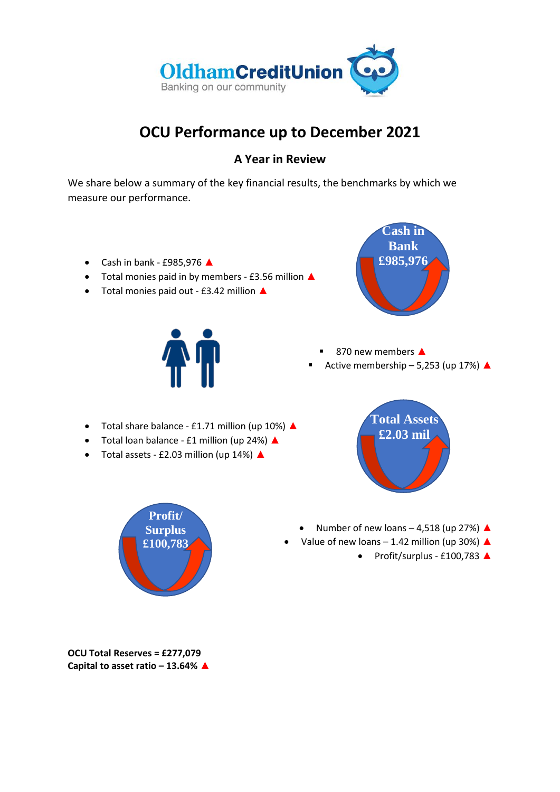

## **OCU Performance up to December 2021**

#### **A Year in Review**

We share below a summary of the key financial results, the benchmarks by which we measure our performance.

- Cash in bank £985,976 ▲
- Total monies paid in by members £3.56 million ▲
- Total monies paid out £3.42 million ▲



- 870 new members ▲
- Active membership 5,253 (up 17%)  $\triangle$
- Total share balance £1.71 million (up 10%) ▲
- Total loan balance £1 million (up 24%) ▲
- Total assets £2.03 million (up 14%) ▲





- Value of new loans 1.42 million (up 30%)  $\triangle$ 
	- Profit/surplus £100,783 ▲



**OCU Total Reserves = £277,079 Capital to asset ratio – 13.64%** ▲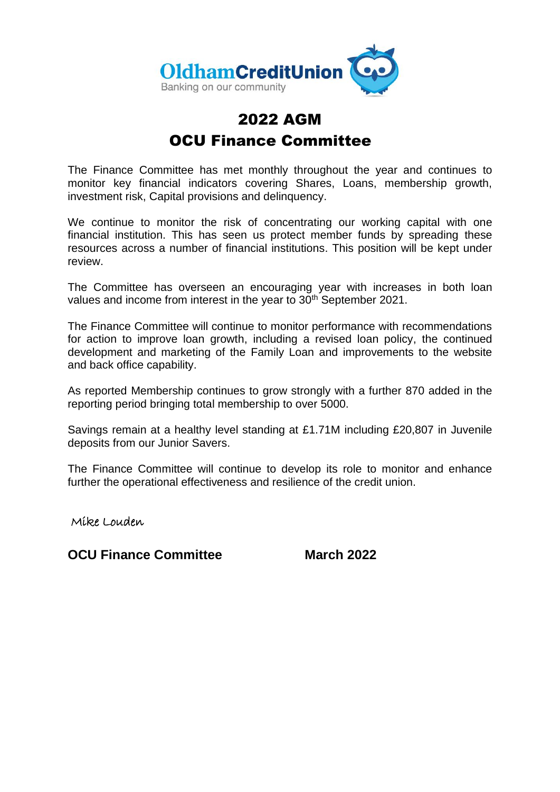

# 2022 AGM OCU Finance Committee

The Finance Committee has met monthly throughout the year and continues to monitor key financial indicators covering Shares, Loans, membership growth, investment risk, Capital provisions and delinquency.

We continue to monitor the risk of concentrating our working capital with one financial institution. This has seen us protect member funds by spreading these resources across a number of financial institutions. This position will be kept under review.

The Committee has overseen an encouraging year with increases in both loan values and income from interest in the year to 30<sup>th</sup> September 2021.

The Finance Committee will continue to monitor performance with recommendations for action to improve loan growth, including a revised loan policy, the continued development and marketing of the Family Loan and improvements to the website and back office capability.

As reported Membership continues to grow strongly with a further 870 added in the reporting period bringing total membership to over 5000.

Savings remain at a healthy level standing at £1.71M including £20,807 in Juvenile deposits from our Junior Savers.

The Finance Committee will continue to develop its role to monitor and enhance further the operational effectiveness and resilience of the credit union.

Mike Louden

**OCU Finance Committee March 2022**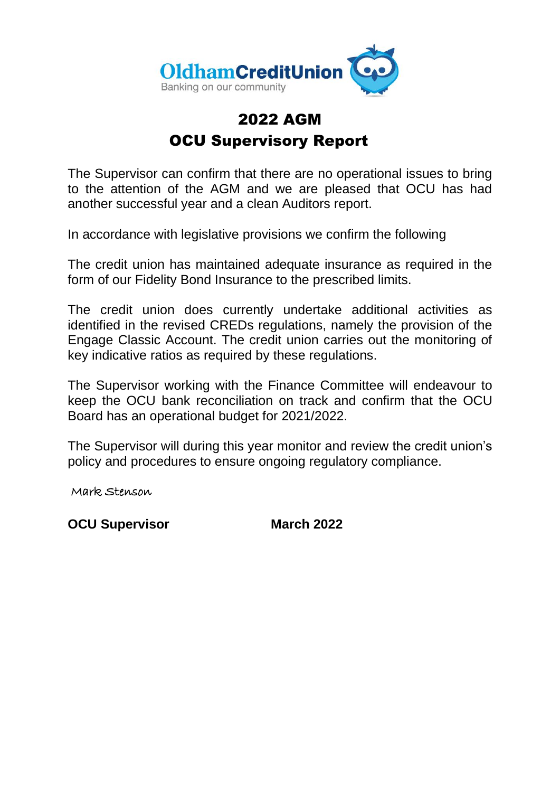

# 2022 AGM OCU Supervisory Report

The Supervisor can confirm that there are no operational issues to bring to the attention of the AGM and we are pleased that OCU has had another successful year and a clean Auditors report.

In accordance with legislative provisions we confirm the following

The credit union has maintained adequate insurance as required in the form of our Fidelity Bond Insurance to the prescribed limits.

The credit union does currently undertake additional activities as identified in the revised CREDs regulations, namely the provision of the Engage Classic Account. The credit union carries out the monitoring of key indicative ratios as required by these regulations.

The Supervisor working with the Finance Committee will endeavour to keep the OCU bank reconciliation on track and confirm that the OCU Board has an operational budget for 2021/2022.

The Supervisor will during this year monitor and review the credit union's policy and procedures to ensure ongoing regulatory compliance.

Mark Stenson

**OCU Supervisor March 2022**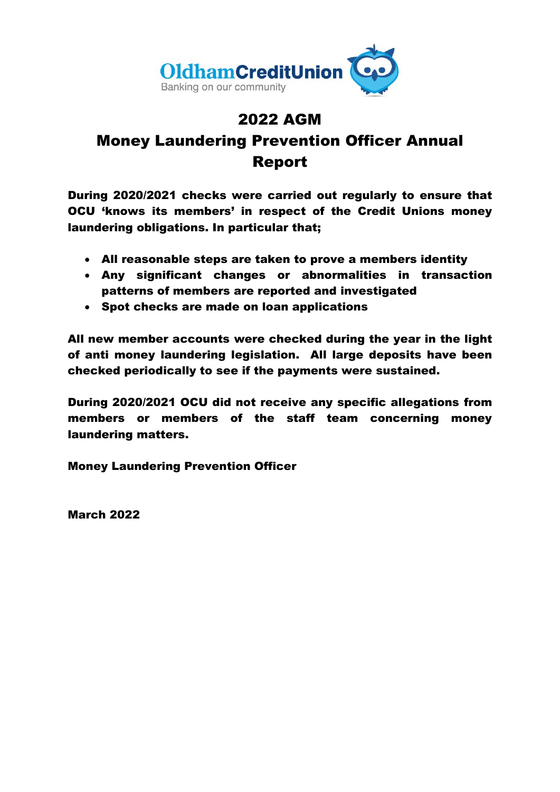

# 2022 AGM Money Laundering Prevention Officer Annual Report

During 2020/2021 checks were carried out regularly to ensure that OCU 'knows its members' in respect of the Credit Unions money laundering obligations. In particular that;

- All reasonable steps are taken to prove a members identity
- Any significant changes or abnormalities in transaction patterns of members are reported and investigated
- Spot checks are made on loan applications

All new member accounts were checked during the year in the light of anti money laundering legislation. All large deposits have been checked periodically to see if the payments were sustained.

During 2020/2021 OCU did not receive any specific allegations from members or members of the staff team concerning money laundering matters.

Money Laundering Prevention Officer

March 2022